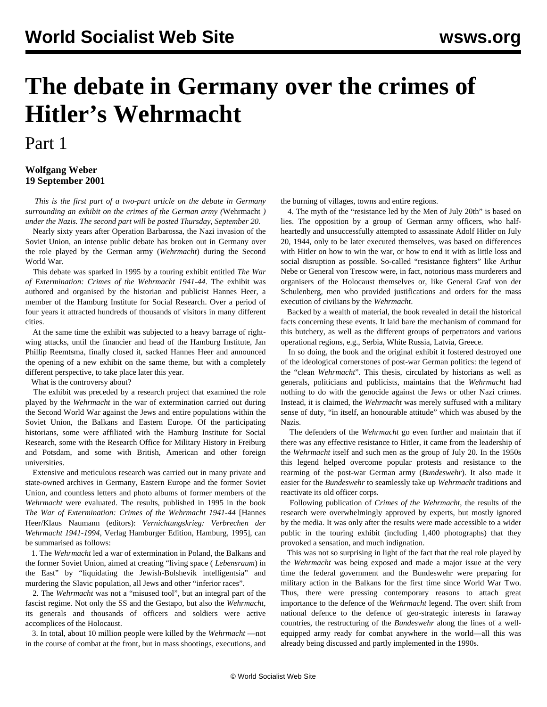## **The debate in Germany over the crimes of Hitler's Wehrmacht**

## Part 1

## **Wolfgang Weber 19 September 2001**

 *This is the first part of a two-part article on the debate in Germany surrounding an exhibit on the crimes of the German army (*Wehrmacht *) under the Nazis. The second part will be posted Thursday, September 20.*

 Nearly sixty years after Operation Barbarossa, the Nazi invasion of the Soviet Union, an intense public debate has broken out in Germany over the role played by the German army (*Wehrmacht*) during the Second World War.

 This debate was sparked in 1995 by a touring exhibit entitled *The War of Extermination: Crimes of the Wehrmacht 1941-44*. The exhibit was authored and organised by the historian and publicist Hannes Heer, a member of the Hamburg Institute for Social Research. Over a period of four years it attracted hundreds of thousands of visitors in many different cities.

 At the same time the exhibit was subjected to a heavy barrage of rightwing attacks, until the financier and head of the Hamburg Institute, Jan Phillip Reemtsma, finally closed it, sacked Hannes Heer and announced the opening of a new exhibit on the same theme, but with a completely different perspective, to take place later this year.

What is the controversy about?

 The exhibit was preceded by a research project that examined the role played by the *Wehrmacht* in the war of extermination carried out during the Second World War against the Jews and entire populations within the Soviet Union, the Balkans and Eastern Europe. Of the participating historians, some were affiliated with the Hamburg Institute for Social Research, some with the Research Office for Military History in Freiburg and Potsdam, and some with British, American and other foreign universities.

 Extensive and meticulous research was carried out in many private and state-owned archives in Germany, Eastern Europe and the former Soviet Union, and countless letters and photo albums of former members of the *Wehrmacht* were evaluated. The results, published in 1995 in the book *The War of Extermination: Crimes of the Wehrmacht 1941-44* [Hannes Heer/Klaus Naumann (editors): *Vernichtungskrieg: Verbrechen der Wehrmacht 1941-1994,* Verlag Hamburger Edition, Hamburg, 1995], can be summarised as follows:

 1. The *Wehrmacht* led a war of extermination in Poland, the Balkans and the former Soviet Union, aimed at creating "living space ( *Lebensraum*) in the East" by "liquidating the Jewish-Bolshevik intelligentsia" and murdering the Slavic population, all Jews and other "inferior races".

 2. The *Wehrmacht* was not a "misused tool", but an integral part of the fascist regime. Not only the SS and the Gestapo, but also the *Wehrmacht*, its generals and thousands of officers and soldiers were active accomplices of the Holocaust.

 3. In total, about 10 million people were killed by the *Wehrmacht* —not in the course of combat at the front, but in mass shootings, executions, and the burning of villages, towns and entire regions.

 4. The myth of the "resistance led by the Men of July 20th" is based on lies. The opposition by a group of German army officers, who halfheartedly and unsuccessfully attempted to assassinate Adolf Hitler on July 20, 1944, only to be later executed themselves, was based on differences with Hitler on how to win the war, or how to end it with as little loss and social disruption as possible. So-called "resistance fighters" like Arthur Nebe or General von Trescow were, in fact, notorious mass murderers and organisers of the Holocaust themselves or, like General Graf von der Schulenberg, men who provided justifications and orders for the mass execution of civilians by the *Wehrmacht*.

 Backed by a wealth of material, the book revealed in detail the historical facts concerning these events. It laid bare the mechanism of command for this butchery, as well as the different groups of perpetrators and various operational regions, e.g., Serbia, White Russia, Latvia, Greece.

 In so doing, the book and the original exhibit it fostered destroyed one of the ideological cornerstones of post-war German politics: the legend of the "clean *Wehrmacht*". This thesis, circulated by historians as well as generals, politicians and publicists, maintains that the *Wehrmacht* had nothing to do with the genocide against the Jews or other Nazi crimes. Instead, it is claimed, the *Wehrmacht* was merely suffused with a military sense of duty, "in itself, an honourable attitude" which was abused by the Nazis.

 The defenders of the *Wehrmacht* go even further and maintain that if there was any effective resistance to Hitler, it came from the leadership of the *Wehrmacht* itself and such men as the group of July 20. In the 1950s this legend helped overcome popular protests and resistance to the rearming of the post-war German army (*Bundeswehr*). It also made it easier for the *Bundeswehr* to seamlessly take up *Wehrmacht* traditions and reactivate its old officer corps.

 Following publication of *Crimes of the Wehrmacht*, the results of the research were overwhelmingly approved by experts, but mostly ignored by the media. It was only after the results were made accessible to a wider public in the touring exhibit (including 1,400 photographs) that they provoked a sensation, and much indignation.

 This was not so surprising in light of the fact that the real role played by the *Wehrmacht* was being exposed and made a major issue at the very time the federal government and the Bundeswehr were preparing for military action in the Balkans for the first time since World War Two. Thus, there were pressing contemporary reasons to attach great importance to the defence of the *Wehrmacht* legend. The overt shift from national defence to the defence of geo-strategic interests in faraway countries, the restructuring of the *Bundeswehr* along the lines of a wellequipped army ready for combat anywhere in the world—all this was already being discussed and partly implemented in the 1990s.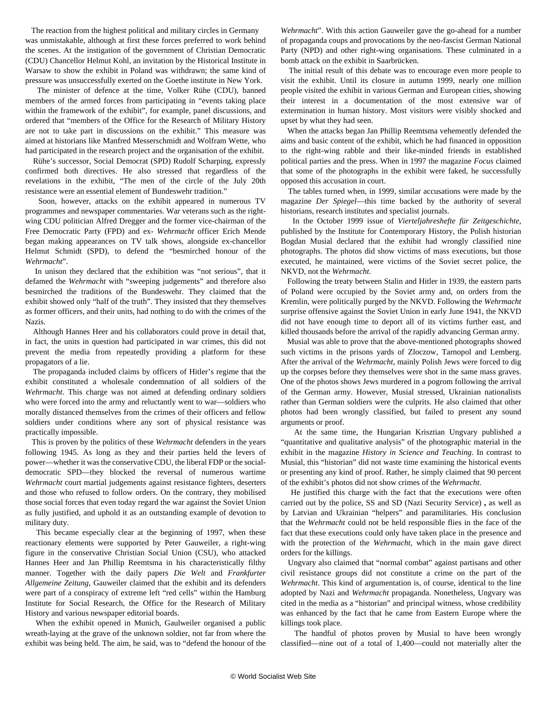The reaction from the highest political and military circles in Germany was unmistakable, although at first these forces preferred to work behind the scenes. At the instigation of the government of Christian Democratic (CDU) Chancellor Helmut Kohl, an invitation by the Historical Institute in Warsaw to show the exhibit in Poland was withdrawn; the same kind of pressure was unsuccessfully exerted on the Goethe institute in New York.

 The minister of defence at the time, Volker Rühe (CDU), banned members of the armed forces from participating in "events taking place within the framework of the exhibit", for example, panel discussions, and ordered that "members of the Office for the Research of Military History are not to take part in discussions on the exhibit." This measure was aimed at historians like Manfred Messerschmidt and Wolfram Wette, who had participated in the research project and the organisation of the exhibit.

 Rühe's successor, Social Democrat (SPD) Rudolf Scharping, expressly confirmed both directives. He also stressed that regardless of the revelations in the exhibit, "The men of the circle of the July 20th resistance were an essential element of Bundeswehr tradition."

 Soon, however, attacks on the exhibit appeared in numerous TV programmes and newspaper commentaries. War veterans such as the rightwing CDU politician Alfred Dregger and the former vice-chairman of the Free Democratic Party (FPD) and ex- *Wehrmacht* officer Erich Mende began making appearances on TV talk shows, alongside ex-chancellor Helmut Schmidt (SPD), to defend the "besmirched honour of the *Wehrmacht*".

 In unison they declared that the exhibition was "not serious", that it defamed the *Wehrmacht* with "sweeping judgements" and therefore also besmirched the traditions of the Bundeswehr. They claimed that the exhibit showed only "half of the truth". They insisted that they themselves as former officers, and their units, had nothing to do with the crimes of the Nazis.

 Although Hannes Heer and his collaborators could prove in detail that, in fact, the units in question had participated in war crimes, this did not prevent the media from repeatedly providing a platform for these propagators of a lie.

 The propaganda included claims by officers of Hitler's regime that the exhibit constituted a wholesale condemnation of all soldiers of the *Wehrmacht*. This charge was not aimed at defending ordinary soldiers who were forced into the army and reluctantly went to war—soldiers who morally distanced themselves from the crimes of their officers and fellow soldiers under conditions where any sort of physical resistance was practically impossible.

 This is proven by the politics of these *Wehrmacht* defenders in the years following 1945. As long as they and their parties held the levers of power—whether it was the conservative CDU, the liberal FDP or the socialdemocratic SPD—they blocked the reversal of numerous wartime *Wehrmacht* court martial judgements against resistance fighters, deserters and those who refused to follow orders. On the contrary, they mobilised those social forces that even today regard the war against the Soviet Union as fully justified, and uphold it as an outstanding example of devotion to military duty.

 This became especially clear at the beginning of 1997, when these reactionary elements were supported by Peter Gauweiler, a right-wing figure in the conservative Christian Social Union (CSU), who attacked Hannes Heer and Jan Phillip Reemtsma in his characteristically filthy manner. Together with the daily papers *Die Welt* and *Frankfurter Allgemeine Zeitung*, Gauweiler claimed that the exhibit and its defenders were part of a conspiracy of extreme left "red cells" within the Hamburg Institute for Social Research, the Office for the Research of Military History and various newspaper editorial boards.

 When the exhibit opened in Munich, Gaulweiler organised a public wreath-laying at the grave of the unknown soldier, not far from where the exhibit was being held. The aim, he said, was to "defend the honour of the *Wehrmacht*". With this action Gauweiler gave the go-ahead for a number of propaganda coups and provocations by the neo-fascist German National Party (NPD) and other right-wing organisations. These culminated in a bomb attack on the exhibit in Saarbrücken.

 The initial result of this debate was to encourage even more people to visit the exhibit. Until its closure in autumn 1999, nearly one million people visited the exhibit in various German and European cities, showing their interest in a documentation of the most extensive war of extermination in human history. Most visitors were visibly shocked and upset by what they had seen.

 When the attacks began Jan Phillip Reemtsma vehemently defended the aims and basic content of the exhibit, which he had financed in opposition to the right-wing rabble and their like-minded friends in established political parties and the press. When in 1997 the magazine *Focus* claimed that some of the photographs in the exhibit were faked, he successfully opposed this accusation in court.

 The tables turned when, in 1999, similar accusations were made by the magazine *Der Spiegel*—this time backed by the authority of several historians, research institutes and specialist journals.

 In the October 1999 issue of *Vierteljahreshefte für Zeitgeschichte*, published by the Institute for Contemporary History, the Polish historian Bogdan Musial declared that the exhibit had wrongly classified nine photographs. The photos did show victims of mass executions, but those executed, he maintained, were victims of the Soviet secret police, the NKVD, not the *Wehrmacht*.

 Following the treaty between Stalin and Hitler in 1939, the eastern parts of Poland were occupied by the Soviet army and, on orders from the Kremlin, were politically purged by the NKVD. Following the *Wehrmacht* surprise offensive against the Soviet Union in early June 1941, the NKVD did not have enough time to deport all of its victims further east, and killed thousands before the arrival of the rapidly advancing German army.

 Musial was able to prove that the above-mentioned photographs showed such victims in the prisons yards of Zloczow, Tarnopol and Lemberg. After the arrival of the *Wehrmacht*, mainly Polish Jews were forced to dig up the corpses before they themselves were shot in the same mass graves. One of the photos shows Jews murdered in a pogrom following the arrival of the German army. However, Musial stressed, Ukrainian nationalists rather than German soldiers were the culprits. He also claimed that other photos had been wrongly classified, but failed to present any sound arguments or proof.

 At the same time, the Hungarian Krisztian Ungvary published a "quantitative and qualitative analysis" of the photographic material in the exhibit in the magazine *History in Science and Teaching*. In contrast to Musial, this "historian" did not waste time examining the historical events or presenting any kind of proof. Rather, he simply claimed that 90 percent of the exhibit's photos did not show crimes of the *Wehrmacht*.

 He justified this charge with the fact that the executions were often carried out by the police, SS and SD (Nazi Security Service) **,** as well as by Latvian and Ukrainian "helpers" and paramilitaries. His conclusion that the *Wehrmacht* could not be held responsible flies in the face of the fact that these executions could only have taken place in the presence and with the protection of the *Wehrmacht*, which in the main gave direct orders for the killings.

 Ungvary also claimed that "normal combat" against partisans and other civil resistance groups did not constitute a crime on the part of the *Wehrmacht*. This kind of argumentation is, of course, identical to the line adopted by Nazi and *Wehrmacht* propaganda. Nonetheless, Ungvary was cited in the media as a "historian" and principal witness, whose credibility was enhanced by the fact that he came from Eastern Europe where the killings took place.

 The handful of photos proven by Musial to have been wrongly classified—nine out of a total of 1,400—could not materially alter the